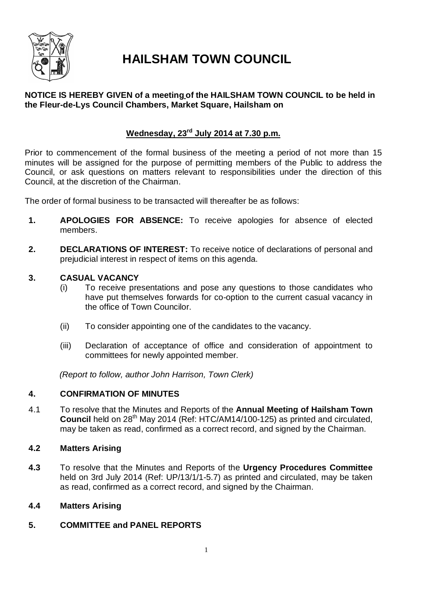

# **HAILSHAM TOWN COUNCIL**

# **NOTICE IS HEREBY GIVEN of a meeting of the HAILSHAM TOWN COUNCIL to be held in the Fleur-de-Lys Council Chambers, Market Square, Hailsham on**

# **Wednesday, 23rd July 2014 at 7.30 p.m.**

Prior to commencement of the formal business of the meeting a period of not more than 15 minutes will be assigned for the purpose of permitting members of the Public to address the Council, or ask questions on matters relevant to responsibilities under the direction of this Council, at the discretion of the Chairman.

The order of formal business to be transacted will thereafter be as follows:

- **1. APOLOGIES FOR ABSENCE:** To receive apologies for absence of elected members.
- **2. DECLARATIONS OF INTEREST:** To receive notice of declarations of personal and prejudicial interest in respect of items on this agenda.

# **3. CASUAL VACANCY**

- (i) To receive presentations and pose any questions to those candidates who have put themselves forwards for co-option to the current casual vacancy in the office of Town Councilor.
- (ii) To consider appointing one of the candidates to the vacancy.
- (iii) Declaration of acceptance of office and consideration of appointment to committees for newly appointed member.

*(Report to follow, author John Harrison, Town Clerk)*

# **4. CONFIRMATION OF MINUTES**

4.1 To resolve that the Minutes and Reports of the **Annual Meeting of Hailsham Town Council** held on 28<sup>th</sup> May 2014 (Ref: HTC/AM14/100-125) as printed and circulated, may be taken as read, confirmed as a correct record, and signed by the Chairman.

# **4.2 Matters Arising**

**4.3** To resolve that the Minutes and Reports of the **Urgency Procedures Committee** held on 3rd July 2014 (Ref: UP/13/1/1-5.7) as printed and circulated, may be taken as read, confirmed as a correct record, and signed by the Chairman.

# **4.4 Matters Arising**

**5. COMMITTEE and PANEL REPORTS**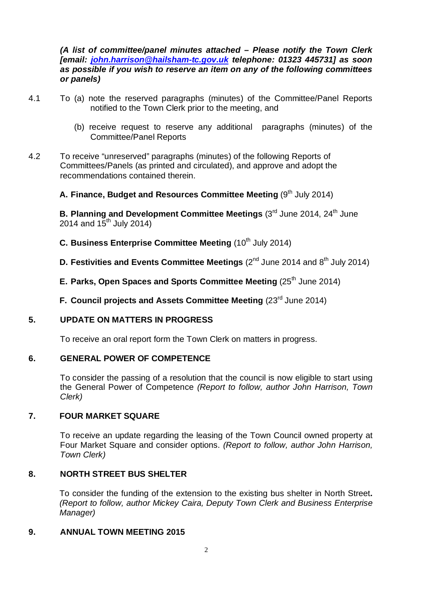*(A list of committee/panel minutes attached – Please notify the Town Clerk [email: john.harrison@hailsham-tc.gov.uk telephone: 01323 445731] as soon as possible if you wish to reserve an item on any of the following committees or panels)*

- 4.1 To (a) note the reserved paragraphs (minutes) of the Committee/Panel Reports notified to the Town Clerk prior to the meeting, and
	- (b) receive request to reserve any additional paragraphs (minutes) of the Committee/Panel Reports
- 4.2 To receive "unreserved" paragraphs (minutes) of the following Reports of Committees/Panels (as printed and circulated), and approve and adopt the recommendations contained therein.

# **A. Finance, Budget and Resources Committee Meeting (9<sup>th</sup> July 2014)**

**B. Planning and Development Committee Meetings (3<sup>rd</sup> June 2014, 24<sup>th</sup> June** 2014 and  $15^{th}$  July 2014)

# **C.** Business Enterprise Committee Meeting (10<sup>th</sup> July 2014)

- **D.** Festivities and Events Committee Meetings (2<sup>nd</sup> June 2014 and 8<sup>th</sup> July 2014)
- **E. Parks, Open Spaces and Sports Committee Meeting (25<sup>th</sup> June 2014)**
- **F. Council projects and Assets Committee Meeting (23<sup>rd</sup> June 2014)**

# **5. UPDATE ON MATTERS IN PROGRESS**

To receive an oral report form the Town Clerk on matters in progress.

### **6. GENERAL POWER OF COMPETENCE**

To consider the passing of a resolution that the council is now eligible to start using the General Power of Competence *(Report to follow, author John Harrison, Town Clerk)*

### **7. FOUR MARKET SQUARE**

To receive an update regarding the leasing of the Town Council owned property at Four Market Square and consider options. *(Report to follow, author John Harrison, Town Clerk)*

### **8. NORTH STREET BUS SHELTER**

To consider the funding of the extension to the existing bus shelter in North Street**.**  *(Report to follow, author Mickey Caira, Deputy Town Clerk and Business Enterprise Manager)*

# **9. ANNUAL TOWN MEETING 2015**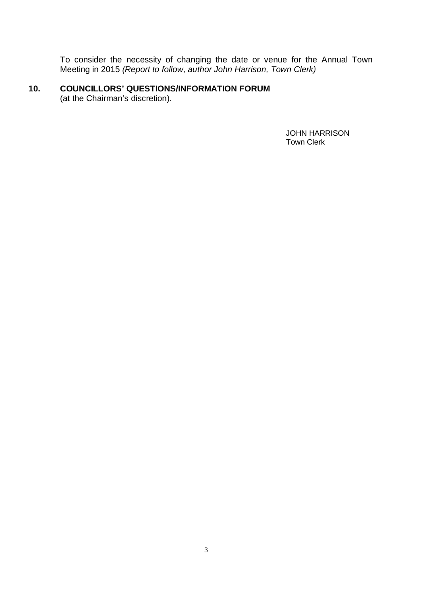To consider the necessity of changing the date or venue for the Annual Town Meeting in 2015 *(Report to follow, author John Harrison, Town Clerk)*

# **10. COUNCILLORS' QUESTIONS/INFORMATION FORUM**

(at the Chairman's discretion).

 JOHN HARRISON Town Clerk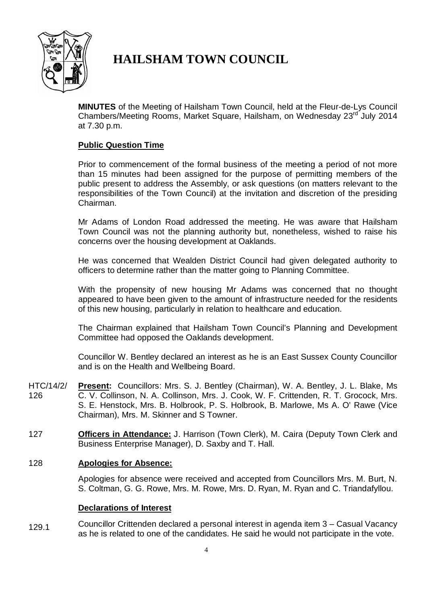

# **HAILSHAM TOWN COUNCIL**

**MINUTES** of the Meeting of Hailsham Town Council, held at the Fleur-de-Lys Council Chambers/Meeting Rooms, Market Square, Hailsham, on Wednesday 23<sup>rd</sup> July 2014 at 7.30 p.m.

# **Public Question Time**

Prior to commencement of the formal business of the meeting a period of not more than 15 minutes had been assigned for the purpose of permitting members of the public present to address the Assembly, or ask questions (on matters relevant to the responsibilities of the Town Council) at the invitation and discretion of the presiding Chairman.

Mr Adams of London Road addressed the meeting. He was aware that Hailsham Town Council was not the planning authority but, nonetheless, wished to raise his concerns over the housing development at Oaklands.

He was concerned that Wealden District Council had given delegated authority to officers to determine rather than the matter going to Planning Committee.

With the propensity of new housing Mr Adams was concerned that no thought appeared to have been given to the amount of infrastructure needed for the residents of this new housing, particularly in relation to healthcare and education.

The Chairman explained that Hailsham Town Council's Planning and Development Committee had opposed the Oaklands development.

Councillor W. Bentley declared an interest as he is an East Sussex County Councillor and is on the Health and Wellbeing Board.

- HTC/14/2/ 126 **Present:** Councillors: Mrs. S. J. Bentley (Chairman), W. A. Bentley, J. L. Blake, Ms C. V. Collinson, N. A. Collinson, Mrs. J. Cook, W. F. Crittenden, R. T. Grocock, Mrs. S. E. Henstock, Mrs. B. Holbrook, P. S. Holbrook, B. Marlowe, Ms A. O' Rawe (Vice Chairman), Mrs. M. Skinner and S Towner.
- 127 **Officers in Attendance:** J. Harrison (Town Clerk), M. Caira (Deputy Town Clerk and Business Enterprise Manager), D. Saxby and T. Hall.

### 128 **Apologies for Absence:**

Apologies for absence were received and accepted from Councillors Mrs. M. Burt, N. S. Coltman, G. G. Rowe, Mrs. M. Rowe, Mrs. D. Ryan, M. Ryan and C. Triandafyllou.

### **Declarations of Interest**

129.1 Councillor Crittenden declared a personal interest in agenda item 3 – Casual Vacancy as he is related to one of the candidates. He said he would not participate in the vote.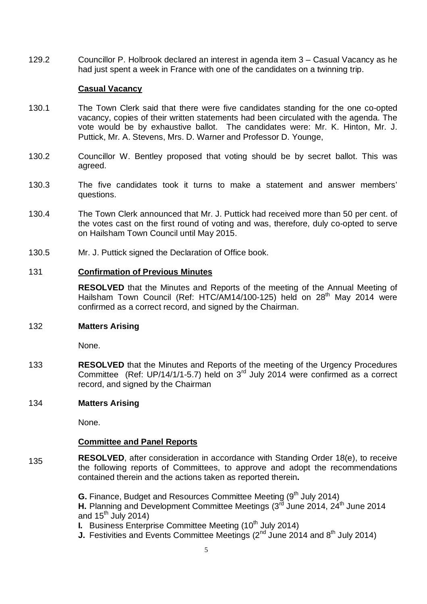129.2 Councillor P. Holbrook declared an interest in agenda item 3 – Casual Vacancy as he had just spent a week in France with one of the candidates on a twinning trip.

#### **Casual Vacancy**

- 130.1 The Town Clerk said that there were five candidates standing for the one co-opted vacancy, copies of their written statements had been circulated with the agenda. The vote would be by exhaustive ballot. The candidates were: Mr. K. Hinton, Mr. J. Puttick, Mr. A. Stevens, Mrs. D. Warner and Professor D. Younge,
- 130.2 Councillor W. Bentley proposed that voting should be by secret ballot. This was agreed.
- 130.3 The five candidates took it turns to make a statement and answer members' questions.
- 130.4 The Town Clerk announced that Mr. J. Puttick had received more than 50 per cent. of the votes cast on the first round of voting and was, therefore, duly co-opted to serve on Hailsham Town Council until May 2015.
- 130.5 Mr. J. Puttick signed the Declaration of Office book.

#### 131 **Confirmation of Previous Minutes**

**RESOLVED** that the Minutes and Reports of the meeting of the Annual Meeting of Hailsham Town Council (Ref: HTC/AM14/100-125) held on 28<sup>th</sup> May 2014 were confirmed as a correct record, and signed by the Chairman.

#### 132 **Matters Arising**

None.

133 **RESOLVED** that the Minutes and Reports of the meeting of the Urgency Procedures Committee (Ref: UP/14/1/1-5.7) held on  $3<sup>rd</sup>$  July 2014 were confirmed as a correct record, and signed by the Chairman

#### 134 **Matters Arising**

None.

### **Committee and Panel Reports**

135 **RESOLVED**, after consideration in accordance with Standing Order 18(e), to receive the following reports of Committees, to approve and adopt the recommendations contained therein and the actions taken as reported therein**.**

> **G.** Finance, Budget and Resources Committee Meeting (9<sup>th</sup> July 2014) **H.** Planning and Development Committee Meetings (3<sup>rd</sup> June 2014, 24<sup>th</sup> June 2014 and  $15^{th}$  July 2014)

**I.** Business Enterprise Committee Meeting (10<sup>th</sup> July 2014)

**J.** Festivities and Events Committee Meetings  $(2^{nd}$  June 2014 and  $8^{th}$  July 2014)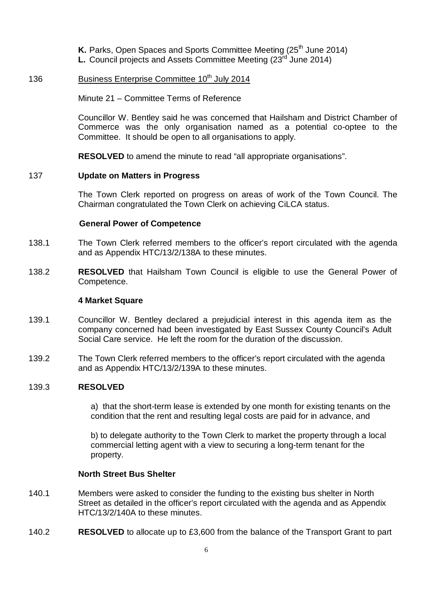**K.** Parks, Open Spaces and Sports Committee Meeting (25<sup>th</sup> June 2014) **L.** Council projects and Assets Committee Meeting (23<sup>rd</sup> June 2014)

### 136 Business Enterprise Committee 10<sup>th</sup> July 2014

Minute 21 – Committee Terms of Reference

Councillor W. Bentley said he was concerned that Hailsham and District Chamber of Commerce was the only organisation named as a potential co-optee to the Committee. It should be open to all organisations to apply.

**RESOLVED** to amend the minute to read "all appropriate organisations".

### 137 **Update on Matters in Progress**

The Town Clerk reported on progress on areas of work of the Town Council. The Chairman congratulated the Town Clerk on achieving CiLCA status.

#### **General Power of Competence**

- 138.1 The Town Clerk referred members to the officer's report circulated with the agenda and as Appendix HTC/13/2/138A to these minutes.
- 138.2 **RESOLVED** that Hailsham Town Council is eligible to use the General Power of Competence.

#### **4 Market Square**

- 139.1 Councillor W. Bentley declared a prejudicial interest in this agenda item as the company concerned had been investigated by East Sussex County Council's Adult Social Care service. He left the room for the duration of the discussion.
- 139.2 The Town Clerk referred members to the officer's report circulated with the agenda and as Appendix HTC/13/2/139A to these minutes.

#### 139.3 **RESOLVED**

a) that the short-term lease is extended by one month for existing tenants on the condition that the rent and resulting legal costs are paid for in advance, and

b) to delegate authority to the Town Clerk to market the property through a local commercial letting agent with a view to securing a long-term tenant for the property.

#### **North Street Bus Shelter**

- 140.1 Members were asked to consider the funding to the existing bus shelter in North Street as detailed in the officer's report circulated with the agenda and as Appendix HTC/13/2/140A to these minutes.
- 140.2 **RESOLVED** to allocate up to £3,600 from the balance of the Transport Grant to part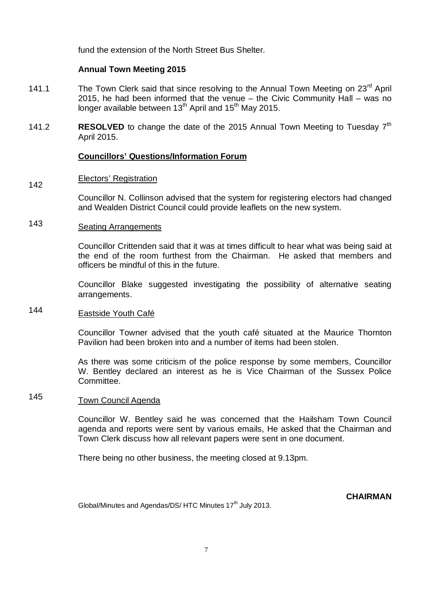fund the extension of the North Street Bus Shelter.

### **Annual Town Meeting 2015**

- 141.1 The Town Clerk said that since resolving to the Annual Town Meeting on 23<sup>rd</sup> April 2015, he had been informed that the venue – the Civic Community Hall – was no longer available between  $13<sup>th</sup>$  April and  $15<sup>th</sup>$  May 2015.
- 141.2 **RESOLVED** to change the date of the 2015 Annual Town Meeting to Tuesday 7<sup>th</sup> April 2015.

# **Councillors' Questions/Information Forum**

#### 142 Electors' Registration

Councillor N. Collinson advised that the system for registering electors had changed and Wealden District Council could provide leaflets on the new system.

#### 143 Seating Arrangements

Councillor Crittenden said that it was at times difficult to hear what was being said at the end of the room furthest from the Chairman. He asked that members and officers be mindful of this in the future.

Councillor Blake suggested investigating the possibility of alternative seating arrangements.

#### 144 Eastside Youth Café

Councillor Towner advised that the youth café situated at the Maurice Thornton Pavilion had been broken into and a number of items had been stolen.

As there was some criticism of the police response by some members, Councillor W. Bentley declared an interest as he is Vice Chairman of the Sussex Police Committee.

#### 145 Town Council Agenda

Councillor W. Bentley said he was concerned that the Hailsham Town Council agenda and reports were sent by various emails, He asked that the Chairman and Town Clerk discuss how all relevant papers were sent in one document.

There being no other business, the meeting closed at 9.13pm.

**CHAIRMAN**

Global/Minutes and Agendas/DS/HTC Minutes 17<sup>th</sup> July 2013.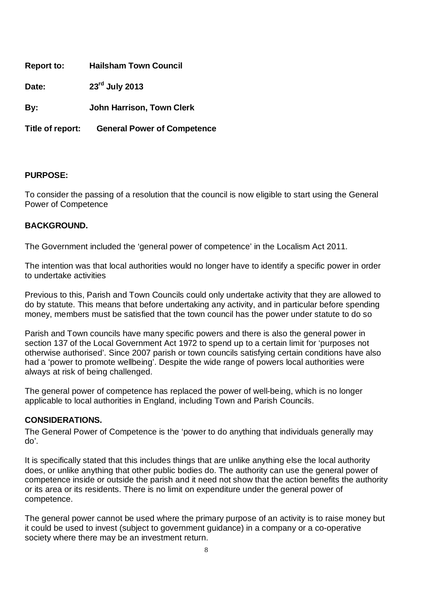| <b>Report to:</b> | <b>Hailsham Town Council</b> |
|-------------------|------------------------------|
|-------------------|------------------------------|

**Date: 23rd July 2013** 

**By: John Harrison, Town Clerk**

**Title of report: General Power of Competence**

# **PURPOSE:**

To consider the passing of a resolution that the council is now eligible to start using the General Power of Competence

# **BACKGROUND.**

The Government included the 'general power of competence' in the Localism Act 2011.

The intention was that local authorities would no longer have to identify a specific power in order to undertake activities

Previous to this, Parish and Town Councils could only undertake activity that they are allowed to do by statute. This means that before undertaking any activity, and in particular before spending money, members must be satisfied that the town council has the power under statute to do so

Parish and Town councils have many specific powers and there is also the general power in section 137 of the Local Government Act 1972 to spend up to a certain limit for 'purposes not otherwise authorised'. Since 2007 parish or town councils satisfying certain conditions have also had a 'power to promote wellbeing'. Despite the wide range of powers local authorities were always at risk of being challenged.

The general power of competence has replaced the power of well-being, which is no longer applicable to local authorities in England, including Town and Parish Councils.

# **CONSIDERATIONS.**

The General Power of Competence is the 'power to do anything that individuals generally may do'.

It is specifically stated that this includes things that are unlike anything else the local authority does, or unlike anything that other public bodies do. The authority can use the general power of competence inside or outside the parish and it need not show that the action benefits the authority or its area or its residents. There is no limit on expenditure under the general power of competence.

The general power cannot be used where the primary purpose of an activity is to raise money but it could be used to invest (subject to government guidance) in a company or a co-operative society where there may be an investment return.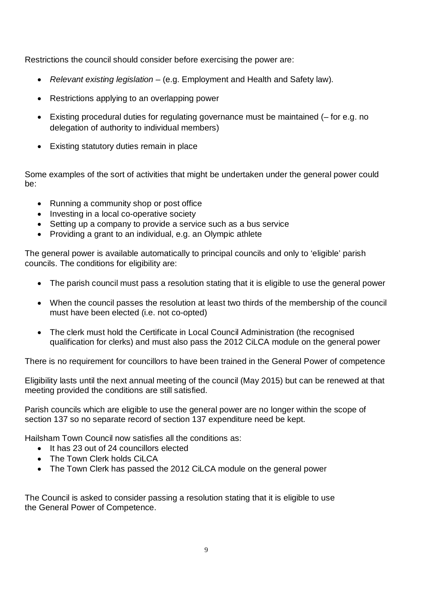Restrictions the council should consider before exercising the power are:

- *Relevant existing legislation –* (e.g. Employment and Health and Safety law).
- Restrictions applying to an overlapping power
- Existing procedural duties for regulating governance must be maintained (– for e.g. no delegation of authority to individual members)
- Existing statutory duties remain in place

Some examples of the sort of activities that might be undertaken under the general power could be:

- Running a community shop or post office
- Investing in a local co-operative society
- Setting up a company to provide a service such as a bus service
- Providing a grant to an individual, e.g. an Olympic athlete

The general power is available automatically to principal councils and only to 'eligible' parish councils. The conditions for eligibility are:

- The parish council must pass a resolution stating that it is eligible to use the general power
- When the council passes the resolution at least two thirds of the membership of the council must have been elected (i.e. not co-opted)
- The clerk must hold the Certificate in Local Council Administration (the recognised qualification for clerks) and must also pass the 2012 CiLCA module on the general power

There is no requirement for councillors to have been trained in the General Power of competence

Eligibility lasts until the next annual meeting of the council (May 2015) but can be renewed at that meeting provided the conditions are still satisfied.

Parish councils which are eligible to use the general power are no longer within the scope of section 137 so no separate record of section 137 expenditure need be kept.

Hailsham Town Council now satisfies all the conditions as:

- It has 23 out of 24 councillors elected
- The Town Clerk holds CiLCA
- The Town Clerk has passed the 2012 CiLCA module on the general power

The Council is asked to consider passing a resolution stating that it is eligible to use the General Power of Competence.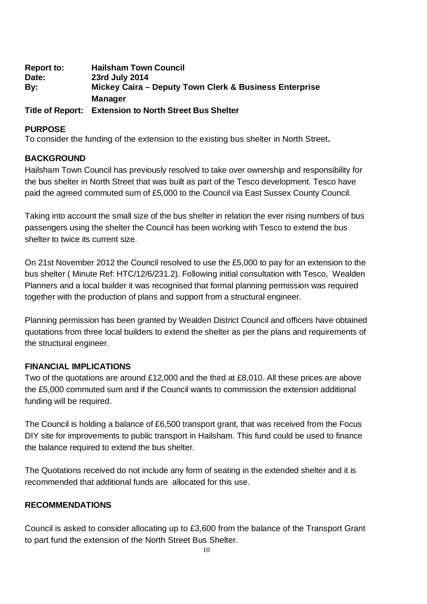| <b>Report to:</b>       | <b>Hailsham Town Council</b>                           |
|-------------------------|--------------------------------------------------------|
| Date:                   | 23rd July 2014                                         |
| By:                     | Mickey Caira – Deputy Town Clerk & Business Enterprise |
|                         | <b>Manager</b>                                         |
| <b>Title of Report:</b> | <b>Extension to North Street Bus Shelter</b>           |

# **PURPOSE**

To consider the funding of the extension to the existing bus shelter in North Street**.**

# **BACKGROUND**

Hailsham Town Council has previously resolved to take over ownership and responsibility for the bus shelter in North Street that was built as part of the Tesco development. Tesco have paid the agreed commuted sum of £5,000 to the Council via East Sussex County Council.

Taking into account the small size of the bus shelter in relation the ever rising numbers of bus passengers using the shelter the Council has been working with Tesco to extend the bus shelter to twice its current size.

On 21st November 2012 the Council resolved to use the £5,000 to pay for an extension to the bus shelter ( Minute Ref: HTC/12/6/231.2). Following initial consultation with Tesco, Wealden Planners and a local builder it was recognised that formal planning permission was required together with the production of plans and support from a structural engineer.

Planning permission has been granted by Wealden District Council and officers have obtained quotations from three local builders to extend the shelter as per the plans and requirements of the structural engineer.

# **FINANCIAL IMPLICATIONS**

Two of the quotations are around £12,000 and the third at £8,010. All these prices are above the £5,000 commuted sum and if the Council wants to commission the extension additional funding will be required.

The Council is holding a balance of £6,500 transport grant, that was received from the Focus DIY site for improvements to public transport in Hailsham. This fund could be used to finance the balance required to extend the bus shelter.

The Quotations received do not include any form of seating in the extended shelter and it is recommended that additional funds are allocated for this use.

# **RECOMMENDATIONS**

Council is asked to consider allocating up to £3,600 from the balance of the Transport Grant to part fund the extension of the North Street Bus Shelter.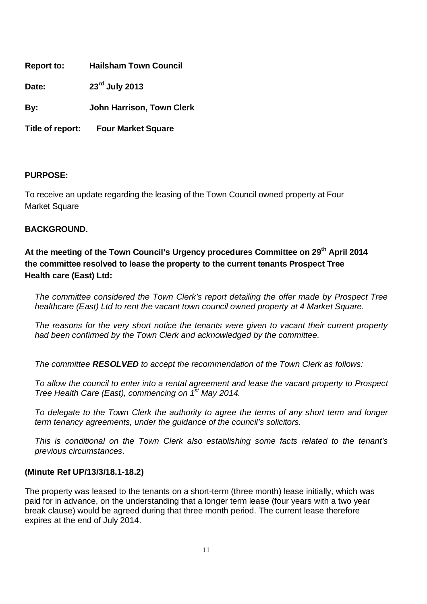| <b>Hailsham Town Council</b><br><b>Report to:</b> |
|---------------------------------------------------|
|---------------------------------------------------|

**Date: 23rd July 2013** 

**By: John Harrison, Town Clerk**

**Title of report: Four Market Square**

# **PURPOSE:**

To receive an update regarding the leasing of the Town Council owned property at Four Market Square

# **BACKGROUND.**

**At the meeting of the Town Council's Urgency procedures Committee on 29th April 2014 the committee resolved to lease the property to the current tenants Prospect Tree Health care (East) Ltd:** 

*The committee considered the Town Clerk's report detailing the offer made by Prospect Tree healthcare (East) Ltd to rent the vacant town council owned property at 4 Market Square.*

*The reasons for the very short notice the tenants were given to vacant their current property had been confirmed by the Town Clerk and acknowledged by the committee.* 

*The committee RESOLVED to accept the recommendation of the Town Clerk as follows:* 

*To allow the council to enter into a rental agreement and lease the vacant property to Prospect Tree Health Care (East), commencing on 1st May 2014.*

*To delegate to the Town Clerk the authority to agree the terms of any short term and longer term tenancy agreements, under the guidance of the council's solicitors.* 

*This is conditional on the Town Clerk also establishing some facts related to the tenant's previous circumstances.*

### **(Minute Ref UP/13/3/18.1-18.2)**

The property was leased to the tenants on a short-term (three month) lease initially, which was paid for in advance, on the understanding that a longer term lease (four years with a two year break clause) would be agreed during that three month period. The current lease therefore expires at the end of July 2014.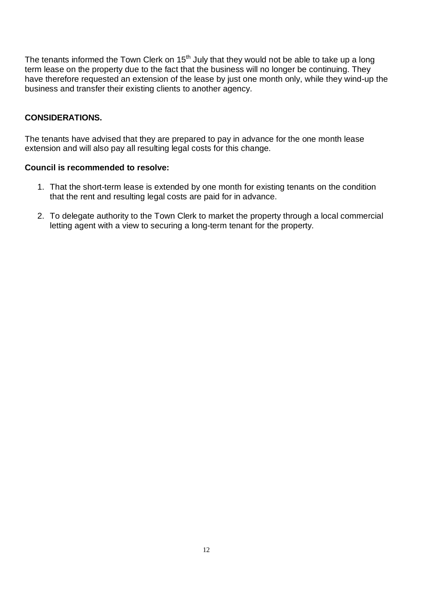The tenants informed the Town Clerk on  $15<sup>th</sup>$  July that they would not be able to take up a long term lease on the property due to the fact that the business will no longer be continuing. They have therefore requested an extension of the lease by just one month only, while they wind-up the business and transfer their existing clients to another agency.

# **CONSIDERATIONS.**

The tenants have advised that they are prepared to pay in advance for the one month lease extension and will also pay all resulting legal costs for this change.

### **Council is recommended to resolve:**

- 1. That the short-term lease is extended by one month for existing tenants on the condition that the rent and resulting legal costs are paid for in advance.
- 2. To delegate authority to the Town Clerk to market the property through a local commercial letting agent with a view to securing a long-term tenant for the property.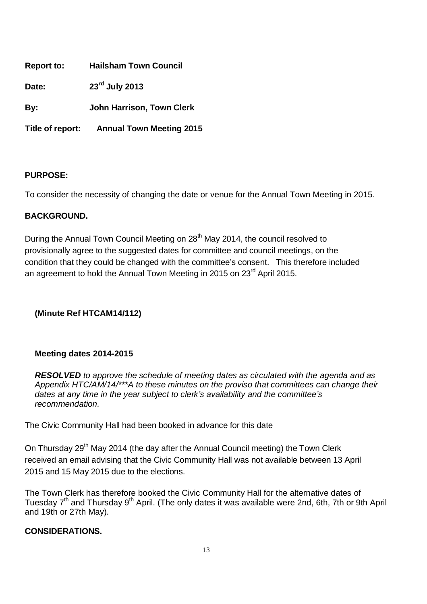| <b>Report to:</b> | <b>Hailsham Town Council</b>     |
|-------------------|----------------------------------|
| Date:             | 23rd July 2013                   |
| By:               | <b>John Harrison, Town Clerk</b> |

**Title of report: Annual Town Meeting 2015**

# **PURPOSE:**

To consider the necessity of changing the date or venue for the Annual Town Meeting in 2015.

# **BACKGROUND.**

During the Annual Town Council Meeting on 28<sup>th</sup> May 2014, the council resolved to provisionally agree to the suggested dates for committee and council meetings, on the condition that they could be changed with the committee's consent. This therefore included an agreement to hold the Annual Town Meeting in 2015 on 23rd April 2015.

# **(Minute Ref HTCAM14/112)**

# **Meeting dates 2014-2015**

*RESOLVED to approve the schedule of meeting dates as circulated with the agenda and as Appendix HTC/AM/14/\*\*\*A to these minutes on the proviso that committees can change their dates at any time in the year subject to clerk's availability and the committee's recommendation.*

The Civic Community Hall had been booked in advance for this date

On Thursday 29<sup>th</sup> May 2014 (the day after the Annual Council meeting) the Town Clerk received an email advising that the Civic Community Hall was not available between 13 April 2015 and 15 May 2015 due to the elections.

The Town Clerk has therefore booked the Civic Community Hall for the alternative dates of Tuesday 7<sup>th</sup> and Thursday 9<sup>th</sup> April. (The only dates it was available were 2nd, 6th, 7th or 9th April and 19th or 27th May).

# **CONSIDERATIONS.**